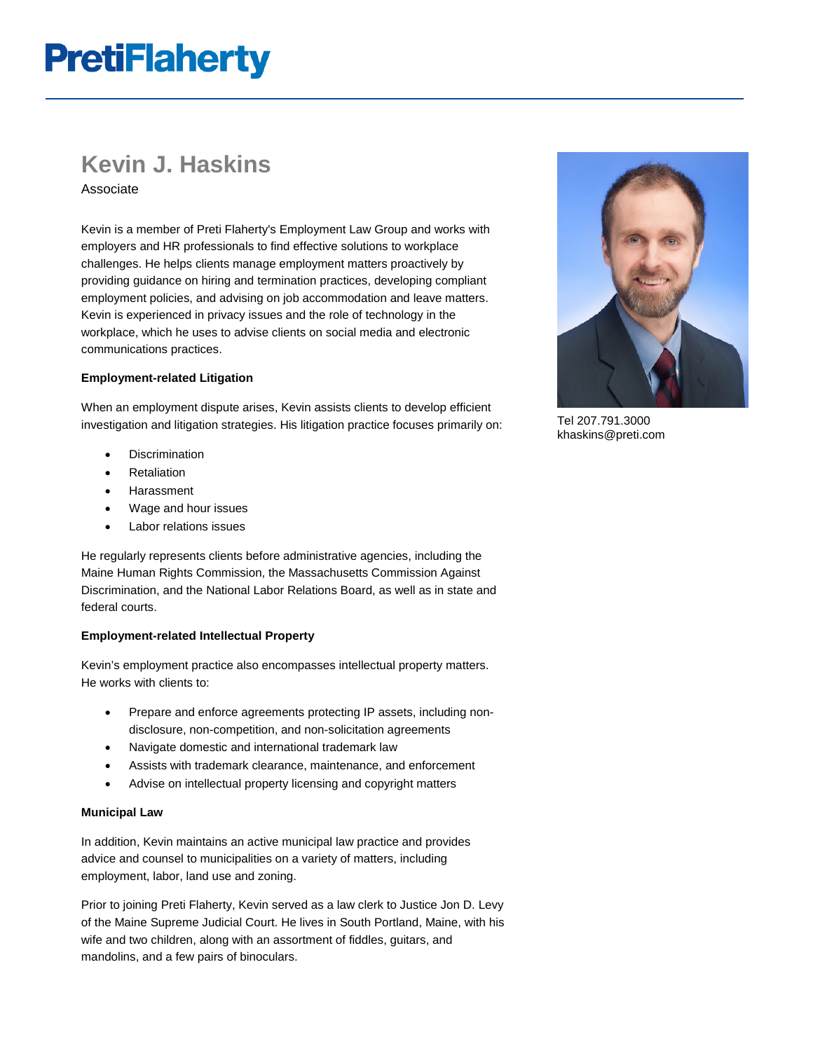# **PretiFlaherty**

## **Kevin J. Haskins**

Associate

Kevin is a member of Preti Flaherty's Employment Law Group and works with employers and HR professionals to find effective solutions to workplace challenges. He helps clients manage employment matters proactively by providing guidance on hiring and termination practices, developing compliant employment policies, and advising on job accommodation and leave matters. Kevin is experienced in privacy issues and the role of technology in the workplace, which he uses to advise clients on social media and electronic communications practices.

#### **Employment-related Litigation**

When an employment dispute arises, Kevin assists clients to develop efficient investigation and litigation strategies. His litigation practice focuses primarily on:

- **Discrimination**
- **Retaliation**
- **Harassment**
- Wage and hour issues
- Labor relations issues

He regularly represents clients before administrative agencies, including the Maine Human Rights Commission, the Massachusetts Commission Against Discrimination, and the National Labor Relations Board, as well as in state and federal courts.

#### **Employment-related Intellectual Property**

Kevin's employment practice also encompasses intellectual property matters. He works with clients to:

- Prepare and enforce agreements protecting IP assets, including nondisclosure, non-competition, and non-solicitation agreements
- Navigate domestic and international trademark law
- Assists with trademark clearance, maintenance, and enforcement
- Advise on intellectual property licensing and copyright matters

#### **Municipal Law**

In addition, Kevin maintains an active municipal law practice and provides advice and counsel to municipalities on a variety of matters, including employment, labor, land use and zoning.

Prior to joining Preti Flaherty, Kevin served as a law clerk to Justice Jon D. Levy of the Maine Supreme Judicial Court. He lives in South Portland, Maine, with his wife and two children, along with an assortment of fiddles, guitars, and mandolins, and a few pairs of binoculars.



Tel 207.791.3000 khaskins@preti.com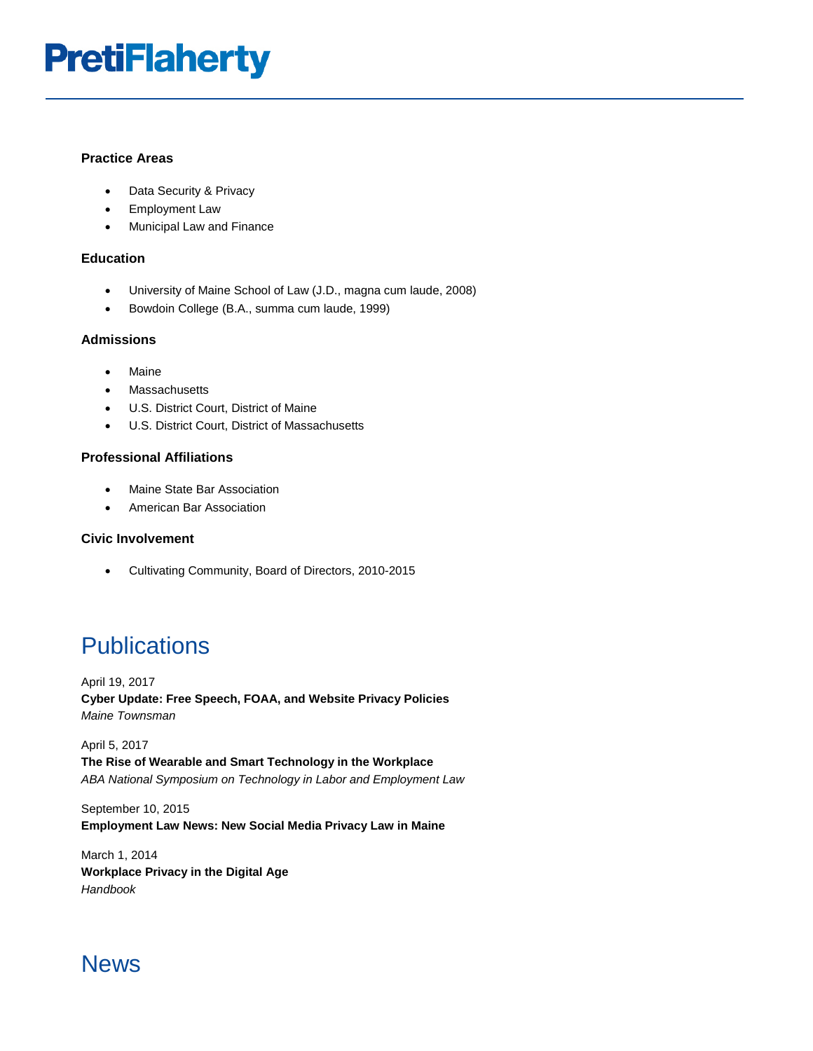# **PretiFlaherty**

#### **Practice Areas**

- Data Security & Privacy
- Employment Law
- Municipal Law and Finance

#### **Education**

- University of Maine School of Law (J.D., magna cum laude, 2008)
- Bowdoin College (B.A., summa cum laude, 1999)

#### **Admissions**

- Maine
- Massachusetts
- U.S. District Court, District of Maine
- U.S. District Court, District of Massachusetts

#### **Professional Affiliations**

- Maine State Bar Association
- American Bar Association

#### **Civic Involvement**

• Cultivating Community, Board of Directors, 2010-2015

### **Publications**

April 19, 2017 **Cyber Update: Free Speech, FOAA, and Website Privacy Policies** *Maine Townsman*

April 5, 2017 **The Rise of Wearable and Smart Technology in the Workplace** *ABA National Symposium on Technology in Labor and Employment Law*

September 10, 2015 **Employment Law News: New Social Media Privacy Law in Maine**

March 1, 2014 **Workplace Privacy in the Digital Age** *Handbook*

### News